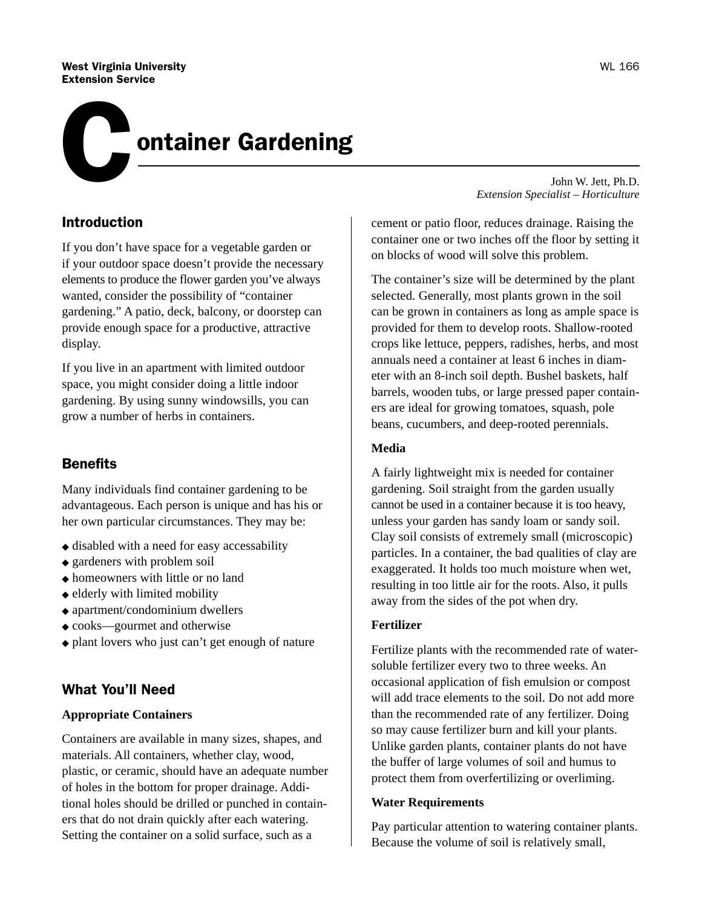#### West Virginia University Extension Service

# ontainer Gardening C

## Introduction

If you don't have space for a vegetable garden or if your outdoor space doesn't provide the necessary elements to produce the flower garden you've always wanted, consider the possibility of "container gardening." A patio, deck, balcony, or doorstep can provide enough space for a productive, attractive display.

If you live in an apartment with limited outdoor space, you might consider doing a little indoor gardening. By using sunny windowsills, you can grow a number of herbs in containers.

# **Benefits**

Many individuals find container gardening to be advantageous. Each person is unique and has his or her own particular circumstances. They may be:

- ◆ disabled with a need for easy accessability
- ◆ gardeners with problem soil
- ◆ homeowners with little or no land
- ◆ elderly with limited mobility
- ◆ apartment/condominium dwellers
- ◆ cooks—gourmet and otherwise
- ◆ plant lovers who just can't get enough of nature

# What You'll Need

### **Appropriate Containers**

Containers are available in many sizes, shapes, and materials. All containers, whether clay, wood, plastic, or ceramic, should have an adequate number of holes in the bottom for proper drainage. Additional holes should be drilled or punched in containers that do not drain quickly after each watering. Setting the container on a solid surface, such as a

John W. Jett, Ph.D. *Extension Specialist – Horticulture*

cement or patio floor, reduces drainage. Raising the container one or two inches off the floor by setting it on blocks of wood will solve this problem.

The container's size will be determined by the plant selected. Generally, most plants grown in the soil can be grown in containers as long as ample space is provided for them to develop roots. Shallow-rooted crops like lettuce, peppers, radishes, herbs, and most annuals need a container at least 6 inches in diameter with an 8-inch soil depth. Bushel baskets, half barrels, wooden tubs, or large pressed paper containers are ideal for growing tomatoes, squash, pole beans, cucumbers, and deep-rooted perennials.

### **Media**

A fairly lightweight mix is needed for container gardening. Soil straight from the garden usually cannot be used in a container because it is too heavy, unless your garden has sandy loam or sandy soil. Clay soil consists of extremely small (microscopic) particles. In a container, the bad qualities of clay are exaggerated. It holds too much moisture when wet, resulting in too little air for the roots. Also, it pulls away from the sides of the pot when dry.

#### **Fertilizer**

Fertilize plants with the recommended rate of watersoluble fertilizer every two to three weeks. An occasional application of fish emulsion or compost will add trace elements to the soil. Do not add more than the recommended rate of any fertilizer. Doing so may cause fertilizer burn and kill your plants. Unlike garden plants, container plants do not have the buffer of large volumes of soil and humus to protect them from overfertilizing or overliming.

#### **Water Requirements**

Pay particular attention to watering container plants. Because the volume of soil is relatively small,